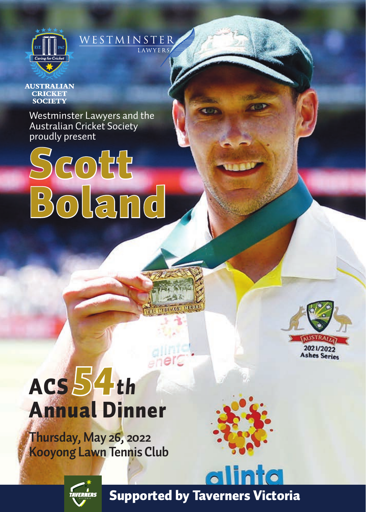

## WESTMINSTER

**AUSTRALIAN CRICKET SOCIETY** 

Westminster Lawyers and the Australian Cricket Society proudly present





2021/2022 Ashes Series

## ACS *54th*  Annual Dinner

**Thursday, May 26, 2022 Kooyong Lawn Tennis Club**



alinta



Supported by Taverners Victoria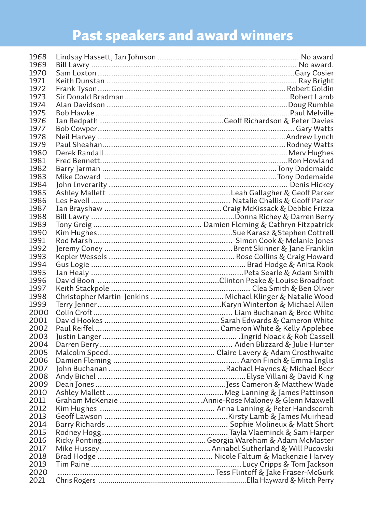## Past speakers and award winners

| 1968 |                                                            |
|------|------------------------------------------------------------|
| 1969 |                                                            |
| 1970 |                                                            |
| 1971 |                                                            |
| 1972 |                                                            |
| 1973 |                                                            |
| 1974 |                                                            |
| 1975 |                                                            |
| 1976 |                                                            |
| 1977 |                                                            |
| 1978 |                                                            |
| 1979 |                                                            |
| 1980 |                                                            |
| 1981 |                                                            |
| 1982 |                                                            |
| 1983 |                                                            |
| 1984 |                                                            |
| 1985 |                                                            |
| 1986 |                                                            |
| 1987 |                                                            |
| 1988 |                                                            |
| 1989 |                                                            |
| 1990 |                                                            |
| 1991 |                                                            |
| 1992 |                                                            |
| 1993 |                                                            |
| 1994 |                                                            |
| 1995 |                                                            |
| 1996 |                                                            |
| 1997 |                                                            |
| 1998 | Christopher Martin-Jenkins  Michael Klinger & Natalie Wood |
| 1999 |                                                            |
| 2000 |                                                            |
| 2001 |                                                            |
| 2002 |                                                            |
| 2003 |                                                            |
| 2004 |                                                            |
| 2005 |                                                            |
| 2006 |                                                            |
| 2007 |                                                            |
| 2008 |                                                            |
| 2009 |                                                            |
| 2010 |                                                            |
| 2011 |                                                            |
| 2012 |                                                            |
| 2013 |                                                            |
| 2014 |                                                            |
| 2015 |                                                            |
| 2016 |                                                            |
| 2017 |                                                            |
| 2018 |                                                            |
| 2019 |                                                            |
| 2020 |                                                            |
| 2021 |                                                            |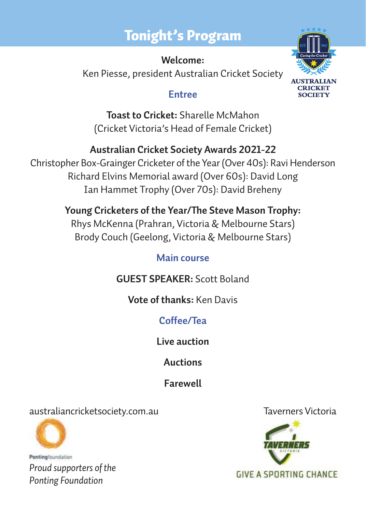### Tonight's Program

# **CRICKET**  $\overline{C}$

**Welcome:**  Ken Piesse, president Australian Cricket Society

#### **Entree**

**Toast to Cricket:** Sharelle McMahon (Cricket Victoria's Head of Female Cricket)

**Australian Cricket Society Awards 2021-22**  Christopher Box-Grainger Cricketer of the Year (Over 40s): Ravi Henderson Richard Elvins Memorial award (Over 60s): David Long Ian Hammet Trophy (Over 70s): David Breheny

> **Young Cricketers of the Year/The Steve Mason Trophy:** Rhys McKenna (Prahran, Victoria & Melbourne Stars) Brody Couch (Geelong, Victoria & Melbourne Stars)

#### **Main course**

**GUEST SPEAKER:** Scott Boland

**Vote of thanks:** Ken Davis

**Coffee/Tea**

**Live auction**

**Auctions**

**Farewell**

australiancricketsociety.com.au Taverners Victoria



Pontingfoundation *Proud supporters of the Ponting Foundation*